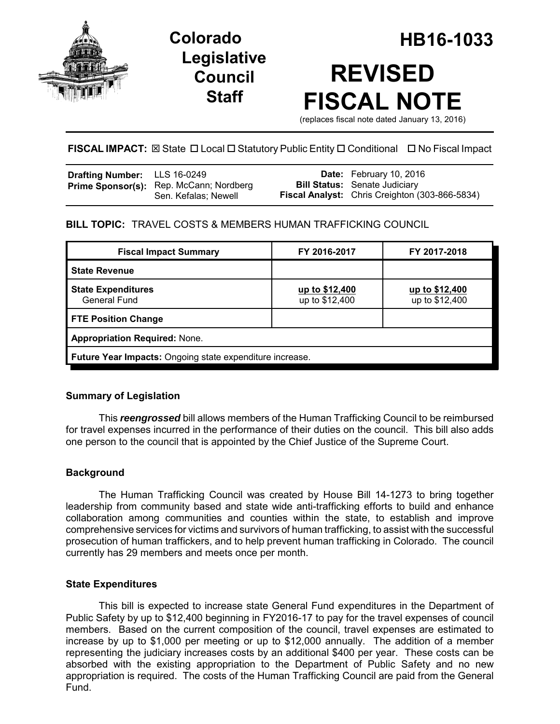

**Legislative Council Staff**

# **Colorado HB16-1033 REVISED FISCAL NOTE**

(replaces fiscal note dated January 13, 2016)

### **FISCAL IMPACT:** ⊠ State □ Local □ Statutory Public Entity □ Conditional □ No Fiscal Impact

| <b>Drafting Number:</b> LLS 16-0249 |                                                                 | <b>Date:</b> February 10, 2016                                                                |
|-------------------------------------|-----------------------------------------------------------------|-----------------------------------------------------------------------------------------------|
|                                     | Prime Sponsor(s): Rep. McCann; Nordberg<br>Sen. Kefalas; Newell | <b>Bill Status:</b> Senate Judiciary<br><b>Fiscal Analyst:</b> Chris Creighton (303-866-5834) |

## **BILL TOPIC:** TRAVEL COSTS & MEMBERS HUMAN TRAFFICKING COUNCIL

| <b>Fiscal Impact Summary</b>                             | FY 2016-2017                     | FY 2017-2018                     |  |  |
|----------------------------------------------------------|----------------------------------|----------------------------------|--|--|
| <b>State Revenue</b>                                     |                                  |                                  |  |  |
| <b>State Expenditures</b><br>General Fund                | up to \$12,400<br>up to \$12,400 | up to \$12,400<br>up to \$12,400 |  |  |
| <b>FTE Position Change</b>                               |                                  |                                  |  |  |
| <b>Appropriation Required: None.</b>                     |                                  |                                  |  |  |
| Future Year Impacts: Ongoing state expenditure increase. |                                  |                                  |  |  |

#### **Summary of Legislation**

This *reengrossed* bill allows members of the Human Trafficking Council to be reimbursed for travel expenses incurred in the performance of their duties on the council. This bill also adds one person to the council that is appointed by the Chief Justice of the Supreme Court.

#### **Background**

The Human Trafficking Council was created by House Bill 14-1273 to bring together leadership from community based and state wide anti-trafficking efforts to build and enhance collaboration among communities and counties within the state, to establish and improve comprehensive services for victims and survivors of human trafficking, to assist with the successful prosecution of human traffickers, and to help prevent human trafficking in Colorado. The council currently has 29 members and meets once per month.

#### **State Expenditures**

This bill is expected to increase state General Fund expenditures in the Department of Public Safety by up to \$12,400 beginning in FY2016-17 to pay for the travel expenses of council members. Based on the current composition of the council, travel expenses are estimated to increase by up to \$1,000 per meeting or up to \$12,000 annually. The addition of a member representing the judiciary increases costs by an additional \$400 per year. These costs can be absorbed with the existing appropriation to the Department of Public Safety and no new appropriation is required. The costs of the Human Trafficking Council are paid from the General Fund.